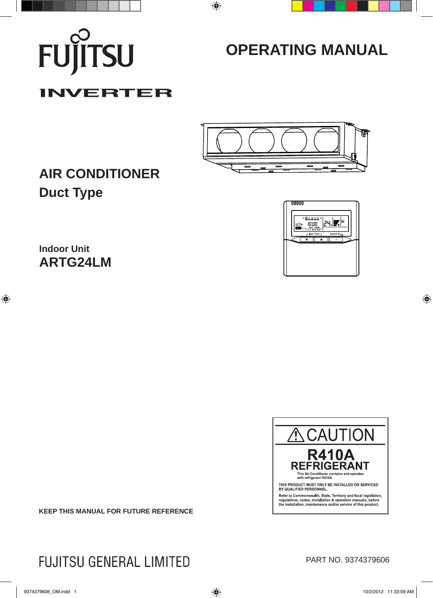

# **OPERATING MANUAL**

# **INVERTER**



# **AIR CONDITIONER Duct Type**



**Indoor Unit ARTG24LM**



**KEEP THIS MANUAL FOR FUTURE REFERENCE**

**FUJITSU GENERAL LIMITED** 

PART NO. 9374379606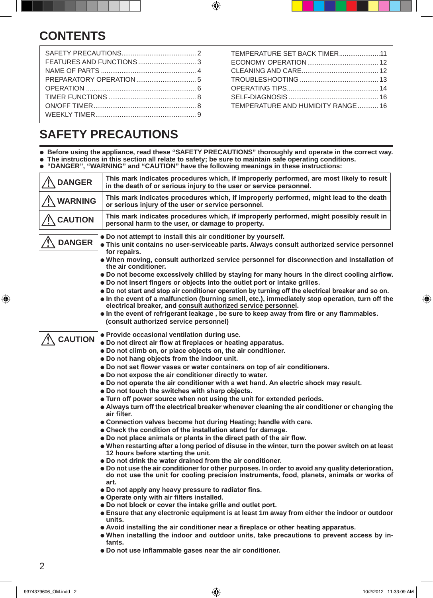# **CONTENTS**

TEMPERATURE SET BACK TIMER ......................11 ECONOMY OPERATION ...................................... 12 CLEANING AND CARE ......................................... 12 TROUBLESHOOTING .......................................... 13 OPERATING TIPS ................................................. 14 SELF-DIAGNOSIS ................................................ 16 TEMPERATURE AND HUMIDITY RANGE ........... 16

# **SAFETY PRECAUTIONS**

l **Before using the appliance, read these "SAFETY PRECAUTIONS" thoroughly and operate in the correct way.** l **The instructions in this section all relate to safety; be sure to maintain safe operating conditions.**

**. "DANGER", "WARNING" and "CAUTION" have the following meanings in these instructions:** 

| <b>DANGER</b>  | This mark indicates procedures which, if improperly performed, are most likely to result<br>in the death of or serious injury to the user or service personnel.                                                                                                        |
|----------------|------------------------------------------------------------------------------------------------------------------------------------------------------------------------------------------------------------------------------------------------------------------------|
| <b>WARNING</b> | This mark indicates procedures which, if improperly performed, might lead to the death<br>or serious injury of the user or service personnel.                                                                                                                          |
| <b>CAUTION</b> | This mark indicates procedures which, if improperly performed, might possibly result in<br>personal harm to the user, or damage to property.                                                                                                                           |
| <b>DANGER</b>  | • Do not attempt to install this air conditioner by yourself.<br>. This unit contains no user-serviceable parts. Always consult authorized service personnel<br>for repairs.                                                                                           |
|                | • When moving, consult authorized service personnel for disconnection and installation of<br>the air conditioner.                                                                                                                                                      |
|                | . Do not become excessively chilled by staying for many hours in the direct cooling airflow.<br>• Do not insert fingers or objects into the outlet port or intake grilles.                                                                                             |
|                | • Do not start and stop air conditioner operation by turning off the electrical breaker and so on.<br>. In the event of a malfunction (burning smell, etc.), immediately stop operation, turn off the<br>electrical breaker, and consult authorized service personnel. |
|                | . In the event of refrigerant leakage, be sure to keep away from fire or any flammables.<br>(consult authorized service personnel)                                                                                                                                     |
| <b>CAUTION</b> | . Provide occasional ventilation during use.                                                                                                                                                                                                                           |
|                | • Do not direct air flow at fireplaces or heating apparatus.                                                                                                                                                                                                           |
|                | . Do not climb on, or place objects on, the air conditioner.<br>. Do not hang objects from the indoor unit.                                                                                                                                                            |
|                | • Do not set flower vases or water containers on top of air conditioners.                                                                                                                                                                                              |
|                | . Do not expose the air conditioner directly to water.                                                                                                                                                                                                                 |
|                | . Do not operate the air conditioner with a wet hand. An electric shock may result.                                                                                                                                                                                    |
|                | . Do not touch the switches with sharp objects.                                                                                                                                                                                                                        |
|                | . Turn off power source when not using the unit for extended periods.                                                                                                                                                                                                  |
|                | • Always turn off the electrical breaker whenever cleaning the air conditioner or changing the<br>air filter.                                                                                                                                                          |
|                | • Connection valves become hot during Heating; handle with care.                                                                                                                                                                                                       |
|                | • Check the condition of the installation stand for damage.                                                                                                                                                                                                            |
|                | • Do not place animals or plants in the direct path of the air flow.                                                                                                                                                                                                   |
|                | . When restarting after a long period of disuse in the winter, turn the power switch on at least<br>12 hours before starting the unit.                                                                                                                                 |
|                | • Do not drink the water drained from the air conditioner.<br>• Do not use the air conditioner for other purposes. In order to avoid any quality deterioration,<br>do not use the unit for cooling precision instruments, food, planets, animals or works of<br>art.   |
|                | • Do not apply any heavy pressure to radiator fins.                                                                                                                                                                                                                    |
|                | • Operate only with air filters installed.                                                                                                                                                                                                                             |
|                | . Do not block or cover the intake grille and outlet port.                                                                                                                                                                                                             |
|                | • Ensure that any electronic equipment is at least 1m away from either the indoor or outdoor<br>units.                                                                                                                                                                 |
|                | • Avoid installing the air conditioner near a fireplace or other heating apparatus.                                                                                                                                                                                    |
|                | . When installing the indoor and outdoor units, take precautions to prevent access by in-<br>fants.                                                                                                                                                                    |
|                | • Do not use inflammable gases near the air conditioner.                                                                                                                                                                                                               |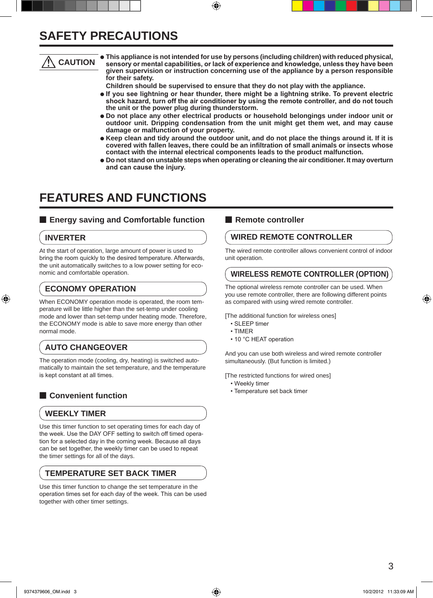### **SAFETY PRECAUTIONS**

### **CAUTION**

l **This appliance is not intended for use by persons (including children) with reduced physical, sensory or mental capabilities, or lack of experience and knowledge, unless they have been given supervision or instruction concerning use of the appliance by a person responsible for their safety.**

 **Children should be supervised to ensure that they do not play with the appliance.**

- $\bullet$  **If you see lightning or hear thunder, there might be a lightning strike. To prevent electric shock hazard, turn off the air conditioner by using the remote controller, and do not touch the unit or the power plug during thunderstorm.**
- l **Do not place any other electrical products or household belongings under indoor unit or outdoor unit. Dripping condensation from the unit might get them wet, and may cause damage or malfunction of your property.**
- l **Keep clean and tidy around the outdoor unit, and do not place the things around it. If it is covered with fallen leaves, there could be an infiltration of small animals or insects whose contact with the internal electrical components leads to the product malfunction.**
- l **Do not stand on unstable steps when operating or cleaning the air conditioner. It may overturn and can cause the injury.**

### **FEATURES AND FUNCTIONS**

### **Energy saving and Comfortable function Remote controller**

### **INVERTER**

At the start of operation, large amount of power is used to bring the room quickly to the desired temperature. Afterwards, the unit automatically switches to a low power setting for economic and comfortable operation.

### **ECONOMY OPERATION**

When ECONOMY operation mode is operated, the room temperature will be little higher than the set-temp under cooling mode and lower than set-temp under heating mode. Therefore, the ECONOMY mode is able to save more energy than other normal mode.

### **AUTO CHANGEOVER**

The operation mode (cooling, dry, heating) is switched automatically to maintain the set temperature, and the temperature is kept constant at all times.

### **n** Convenient function

### **WEEKLY TIMER**

Use this timer function to set operating times for each day of the week. Use the DAY OFF setting to switch off timed operation for a selected day in the coming week. Because all days can be set together, the weekly timer can be used to repeat the timer settings for all of the days.

### **TEMPERATURE SET BACK TIMER**

Use this timer function to change the set temperature in the operation times set for each day of the week. This can be used together with other timer settings.

### **WIRED REMOTE CONTROLLER**

The wired remote controller allows convenient control of indoor unit operation.

### **WIRELESS REMOTE CONTROLLER (OPTION)**

The optional wireless remote controller can be used. When you use remote controller, there are following different points as compared with using wired remote controller.

[The additional function for wireless ones]

- SLEEP timer
- TIMER
- 10 °C HEAT operation

And you can use both wireless and wired remote controller simultaneously. (But function is limited.)

[The restricted functions for wired ones]

- Weekly timer
- Temperature set back timer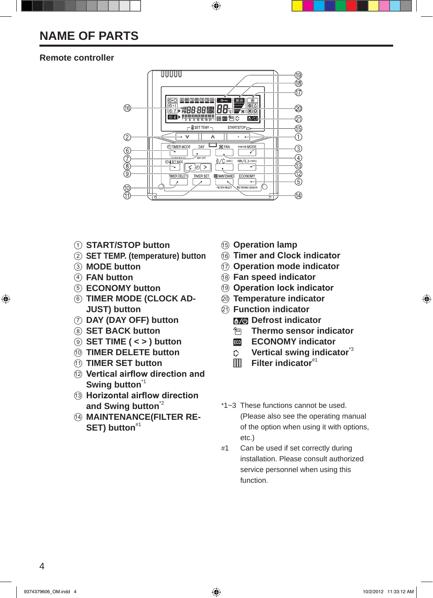### **NAME OF PARTS**

### **Remote controller**



- **START/STOP button**
- **SET TEMP. (temperature) button**
- **MODE button**
- **FAN button**
- **ECONOMY button**
- **TIMER MODE (CLOCK AD-JUST) button**
- **DAY (DAY OFF) button**
- **SET BACK button**
- **SET TIME ( < > ) button**
- **TIMER DELETE button**
- **TIMER SET button**
- **Vertical airflow direction and Swing button**\*1
- **Horizontal airflow direction and Swing button**\*2
- **MAINTENANCE(FILTER RE-SET) button**#1
- **Operation lamp**
- **Timer and Clock indicator**
- **Operation mode indicator**
- **Fan speed indicator**
- **Operation lock indicator**
- **Temperature indicator**
- **Function indicator B<sub>24</sub>** Defrost indicator
	- **Thermo sensor indicator**
	- ECO **ECONOMY indicator**
	- **Vertical swing indicator**\*3
	- **田** Filter indicator<sup>#1</sup>
- \*1~3 These functions cannot be used. (Please also see the operating manual of the option when using it with options, etc.)
- #1 Can be used if set correctly during installation. Please consult authorized service personnel when using this function.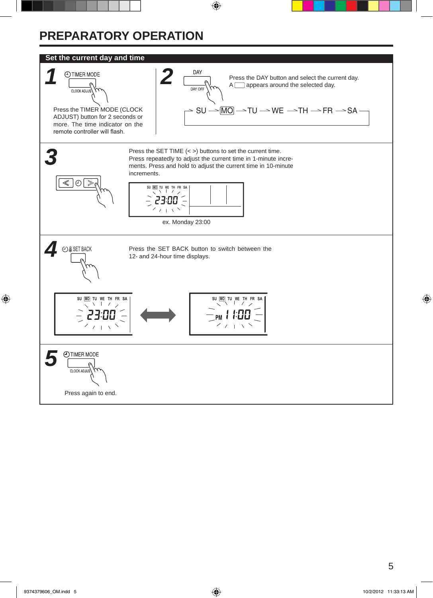# **PREPARATORY OPERATION**

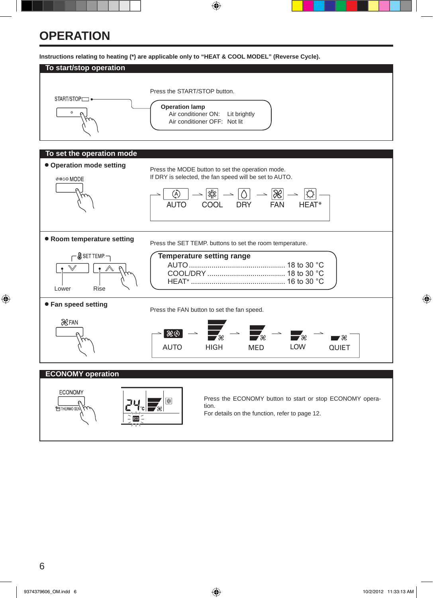### **OPERATION**

**Instructions relating to heating (\*) are applicable only to "HEAT & COOL MODEL" (Reverse Cycle).**







Press the ECONOMY button to start or stop ECONOMY operation.

For details on the function, refer to page 12.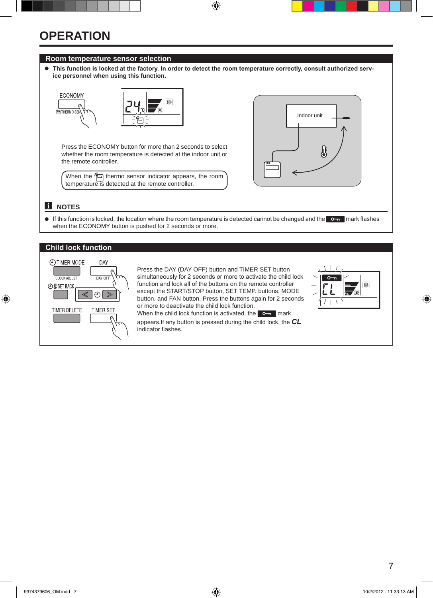### **OPERATION**

### **Room temperature sensor selection**

l **This function is locked at the factory. In order to detect the room temperature correctly, consult authorized service personnel when using this function.**



Press the ECONOMY button for more than 2 seconds to select whether the room temperature is detected at the indoor unit or the remote controller.

When the  $\Box$  thermo sensor indicator appears, the room temperature is detected at the remote controller.



### $\mathbf{H}$  NOTES

If this function is locked, the location where the room temperature is detected cannot be changed and the  $\bullet$  mark flashes when the ECONOMY button is pushed for 2 seconds or more.

#### **Child lock function**



Press the DAY (DAY OFF) button and TIMER SET button simultaneously for 2 seconds or more to activate the child lock function and lock all of the buttons on the remote controller except the START/STOP button, SET TEMP. buttons, MODE button, and FAN button. Press the buttons again for 2 seconds or more to deactivate the child lock function.



When the child lock function is activated, the  $\bullet$  mark appears.If any button is pressed during the child lock, the *CL* indicator flashes.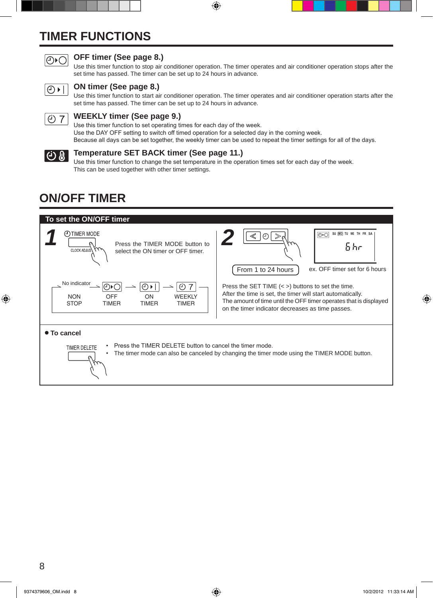# **TIMER FUNCTIONS**



### **OFF timer (See page 8.)**

Use this timer function to stop air conditioner operation. The timer operates and air conditioner operation stops after the set time has passed. The timer can be set up to 24 hours in advance.



#### **ON timer (See page 8.)**

Use this timer function to start air conditioner operation. The timer operates and air conditioner operation starts after the set time has passed. The timer can be set up to 24 hours in advance.



#### **WEEKLY timer (See page 9.)**

Use this timer function to set operating times for each day of the week. Use the DAY OFF setting to switch off timed operation for a selected day in the coming week. Because all days can be set together, the weekly timer can be used to repeat the timer settings for all of the days.



### **Temperature SET BACK timer (See page 11.)**

Use this timer function to change the set temperature in the operation times set for each day of the week. This can be used together with other timer settings.

### **ON/OFF TIMER**

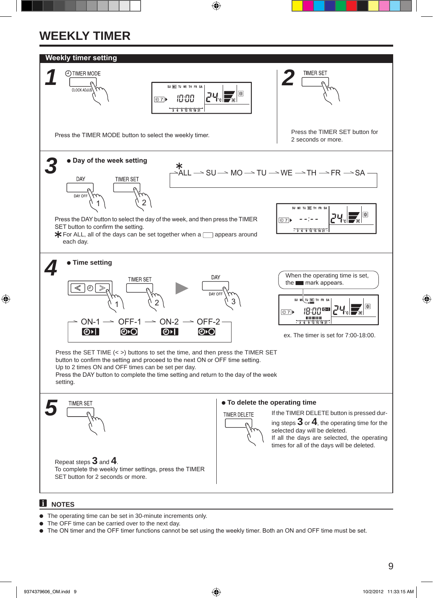# **WEEKLY TIMER**



#### $\bullet$  The operating time can be set in 30-minute increments only.

- The OFF time can be carried over to the next day.
- l The ON timer and the OFF timer functions cannot be set using the weekly timer. Both an ON and OFF time must be set.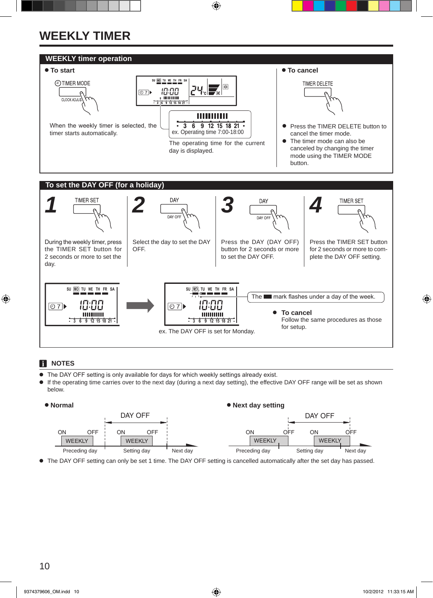# **WEEKLY TIMER**



### **f** NOTES

- **•** The DAY OFF setting is only available for days for which weekly settings already exist.
- If the operating time carries over to the next day (during a next day setting), the effective DAY OFF range will be set as shown below.



● The DAY OFF setting can only be set 1 time. The DAY OFF setting is cancelled automatically after the set day has passed.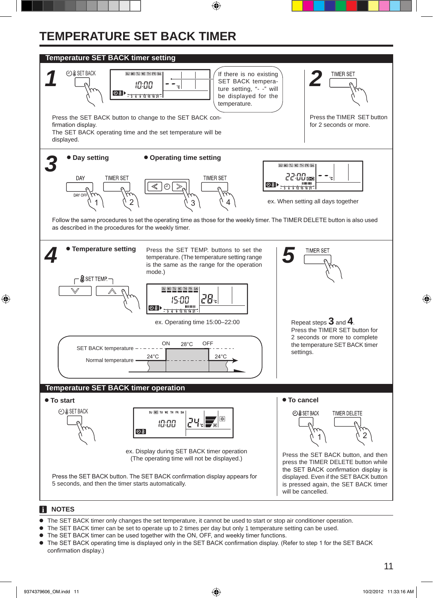# **TEMPERATURE SET BACK TIMER**



- l The SET BACK timer only changes the set temperature, it cannot be used to start or stop air conditioner operation.
- The SET BACK timer can be set to operate up to 2 times per day but only 1 temperature setting can be used.
- The SET BACK timer can be used together with the ON, OFF, and weekly timer functions.
- The SET BACK operating time is displayed only in the SET BACK confirmation display. (Refer to step 1 for the SET BACK confirmation display.)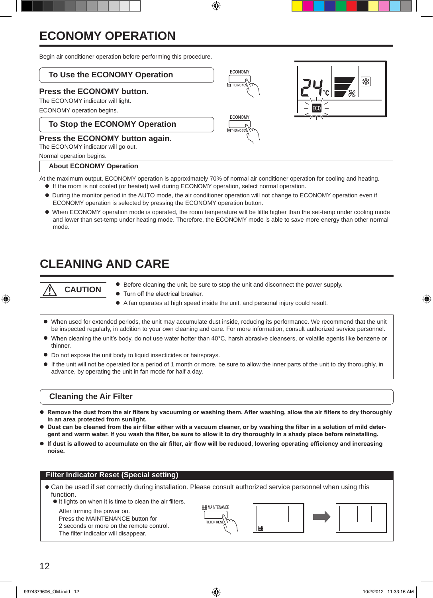## **ECONOMY OPERATION**

Begin air conditioner operation before performing this procedure.

### **To Use the ECONOMY Operation**

### **Press the ECONOMY button.**

The ECONOMY indicator will light.

ECONOMY operation begins.

### **To Stop the ECONOMY Operation**

### **Press the ECONOMY button again.**

The ECONOMY indicator will go out.

Normal operation begins.

#### **About ECONOMY Operation**

At the maximum output, ECONOMY operation is approximately 70% of normal air conditioner operation for cooling and heating.

- $\bullet$  If the room is not cooled (or heated) well during ECONOMY operation, select normal operation.
- l During the monitor period in the AUTO mode, the air conditioner operation will not change to ECONOMY operation even if ECONOMY operation is selected by pressing the ECONOMY operation button.
- l When ECONOMY operation mode is operated, the room temperature will be little higher than the set-temp under cooling mode and lower than set-temp under heating mode. Therefore, the ECONOMY mode is able to save more energy than other normal mode.

### **CLEANING AND CARE**

**CAUTION**

- Before cleaning the unit, be sure to stop the unit and disconnect the power supply.
- **Turn off the electrical breaker.**
- A fan operates at high speed inside the unit, and personal injury could result.
- l When used for extended periods, the unit may accumulate dust inside, reducing its performance. We recommend that the unit be inspected regularly, in addition to your own cleaning and care. For more information, consult authorized service personnel.
- l When cleaning the unit's body, do not use water hotter than 40°C, harsh abrasive cleansers, or volatile agents like benzene or thinner.
- $\bullet$  Do not expose the unit body to liquid insecticides or hairsprays.
- If the unit will not be operated for a period of 1 month or more, be sure to allow the inner parts of the unit to dry thoroughly, in advance, by operating the unit in fan mode for half a day.

#### **Cleaning the Air Filter**

- **Remove the dust from the air filters by vacuuming or washing them. After washing, allow the air filters to dry thoroughly in an area protected from sunlight.**
- l **Dust can be cleaned from the air filter either with a vacuum cleaner, or by washing the filter in a solution of mild detergent and warm water. If you wash the filter, be sure to allow it to dry thoroughly in a shady place before reinstalling.**
- If dust is allowed to accumulate on the air filter, air flow will be reduced, lowering operating efficiency and increasing **noise.**

#### **Filter Indicator Reset (Special setting)**

- Can be used if set correctly during installation. Please consult authorized service personnel when using this function.
	- It lights on when it is time to clean the air filters.

After turning the power on.

Press the MAINTENANCE button for 2 seconds or more on the remote control. The filter indicator will disappear.



|用







**ECONOM**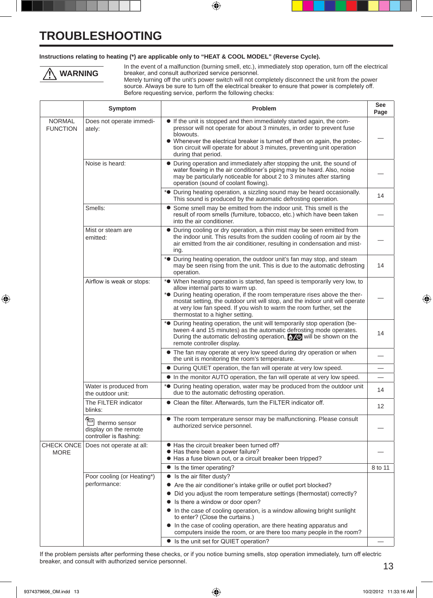### **TROUBLESHOOTING**

#### **Instructions relating to heating (\*) are applicable only to "HEAT & COOL MODEL" (Reverse Cycle).**



In the event of a malfunction (burning smell, etc.), immediately stop operation, turn off the electrical breaker, and consult authorized service personnel.

Merely turning off the unit's power switch will not completely disconnect the unit from the power source. Always be sure to turn off the electrical breaker to ensure that power is completely off. Before requesting service, perform the following checks:

|                                  | Symptom                                                                  | Problem                                                                                                                                                                                                                                                                                                                                                                                                          | See<br>Page |
|----------------------------------|--------------------------------------------------------------------------|------------------------------------------------------------------------------------------------------------------------------------------------------------------------------------------------------------------------------------------------------------------------------------------------------------------------------------------------------------------------------------------------------------------|-------------|
| <b>NORMAL</b><br><b>FUNCTION</b> | Does not operate immedi-<br>ately:                                       | • If the unit is stopped and then immediately started again, the com-<br>pressor will not operate for about 3 minutes, in order to prevent fuse<br>blowouts.<br>• Whenever the electrical breaker is turned off then on again, the protec-<br>tion circuit will operate for about 3 minutes, preventing unit operation<br>during that period.                                                                    |             |
|                                  | Noise is heard:                                                          | • During operation and immediately after stopping the unit, the sound of<br>water flowing in the air conditioner's piping may be heard. Also, noise<br>may be particularly noticeable for about 2 to 3 minutes after starting<br>operation (sound of coolant flowing).                                                                                                                                           |             |
|                                  |                                                                          | * <sup>•</sup> During heating operation, a sizzling sound may be heard occasionally.<br>This sound is produced by the automatic defrosting operation.                                                                                                                                                                                                                                                            | 14          |
|                                  | Smells:                                                                  | • Some smell may be emitted from the indoor unit. This smell is the<br>result of room smells (furniture, tobacco, etc.) which have been taken<br>into the air conditioner.                                                                                                                                                                                                                                       |             |
|                                  | Mist or steam are<br>emitted:                                            | • During cooling or dry operation, a thin mist may be seen emitted from<br>the indoor unit. This results from the sudden cooling of room air by the<br>air emitted from the air conditioner, resulting in condensation and mist-<br>ing.                                                                                                                                                                         |             |
|                                  |                                                                          | * <sup>•</sup> During heating operation, the outdoor unit's fan may stop, and steam<br>may be seen rising from the unit. This is due to the automatic defrosting<br>operation.                                                                                                                                                                                                                                   | 14          |
|                                  | Airflow is weak or stops:                                                | * <sup>•</sup> When heating operation is started, fan speed is temporarily very low, to<br>allow internal parts to warm up.<br>* <sup>•</sup> During heating operation, if the room temperature rises above the ther-<br>mostat setting, the outdoor unit will stop, and the indoor unit will operate<br>at very low fan speed. If you wish to warm the room further, set the<br>thermostat to a higher setting. |             |
|                                  |                                                                          | * <sup>•</sup> During heating operation, the unit will temporarily stop operation (be-<br>tween 4 and 15 minutes) as the automatic defrosting mode operates.<br>During the automatic defrosting operation, $\frac{1}{2}$ will be shown on the<br>remote controller display.                                                                                                                                      | 14          |
|                                  |                                                                          | • The fan may operate at very low speed during dry operation or when<br>the unit is monitoring the room's temperature.                                                                                                                                                                                                                                                                                           |             |
|                                  |                                                                          | • During QUIET operation, the fan will operate at very low speed.                                                                                                                                                                                                                                                                                                                                                |             |
|                                  |                                                                          | • In the monitor AUTO operation, the fan will operate at very low speed.                                                                                                                                                                                                                                                                                                                                         |             |
|                                  | Water is produced from<br>the outdoor unit:                              | * <sup>o</sup> During heating operation, water may be produced from the outdoor unit<br>due to the automatic defrosting operation.                                                                                                                                                                                                                                                                               | 14          |
|                                  | The FILTER indicator<br>blinks:                                          | • Clean the filter. Afterwards, turn the FILTER indicator off.                                                                                                                                                                                                                                                                                                                                                   | 12          |
|                                  | $\Box$ thermo sensor<br>display on the remote<br>controller is flashing: | • The room temperature sensor may be malfunctioning. Please consult<br>authorized service personnel.                                                                                                                                                                                                                                                                                                             |             |
| <b>MORE</b>                      | CHECK ONCE   Does not operate at all:                                    | • Has the circuit breaker been turned off?<br>Has there been a power failure?<br>● Has a fuse blown out, or a circuit breaker been tripped?                                                                                                                                                                                                                                                                      |             |
|                                  |                                                                          | • Is the timer operating?                                                                                                                                                                                                                                                                                                                                                                                        | 8 to 11     |
|                                  | Poor cooling (or Heating*)                                               | $\bullet$ Is the air filter dusty?                                                                                                                                                                                                                                                                                                                                                                               |             |
|                                  | performance:                                                             | • Are the air conditioner's intake grille or outlet port blocked?                                                                                                                                                                                                                                                                                                                                                |             |
|                                  |                                                                          | Did you adjust the room temperature settings (thermostat) correctly?<br>Is there a window or door open?<br>$\bullet$                                                                                                                                                                                                                                                                                             |             |
|                                  |                                                                          | • In the case of cooling operation, is a window allowing bright sunlight<br>to enter? (Close the curtains.)                                                                                                                                                                                                                                                                                                      |             |
|                                  |                                                                          | • In the case of cooling operation, are there heating apparatus and<br>computers inside the room, or are there too many people in the room?                                                                                                                                                                                                                                                                      |             |
|                                  |                                                                          | • Is the unit set for QUIET operation?                                                                                                                                                                                                                                                                                                                                                                           |             |

If the problem persists after performing these checks, or if you notice burning smells, stop operation immediately, turn off electric breaker, and consult with authorized service personnel.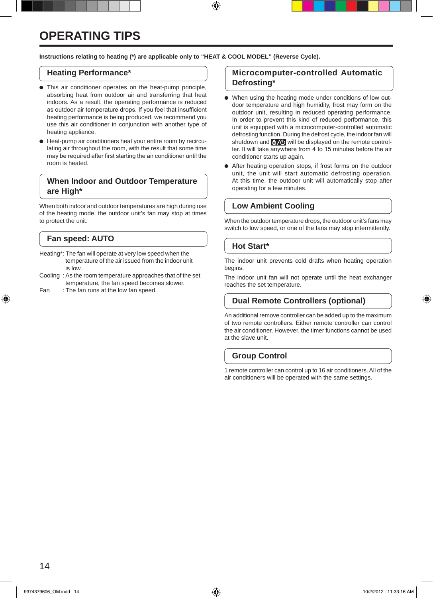## **OPERATING TIPS**

#### **Instructions relating to heating (\*) are applicable only to "HEAT & COOL MODEL" (Reverse Cycle).**

#### **Heating Performance\***

- This air conditioner operates on the heat-pump principle, absorbing heat from outdoor air and transferring that heat indoors. As a result, the operating performance is reduced as outdoor air temperature drops. If you feel that insufficient heating performance is being produced, we recommend you use this air conditioner in conjunction with another type of heating appliance.
- Heat-pump air conditioners heat your entire room by recirculating air throughout the room, with the result that some time may be required after first starting the air conditioner until the room is heated.

### **When Indoor and Outdoor Temperature are High\***

When both indoor and outdoor temperatures are high during use of the heating mode, the outdoor unit's fan may stop at times to protect the unit.

### **Fan speed: AUTO**

- Heating\*: The fan will operate at very low speed when the temperature of the air issued from the indoor unit is low.
- Cooling : As the room temperature approaches that of the set temperature, the fan speed becomes slower.
- Fan : The fan runs at the low fan speed.

#### **Microcomputer-controlled Automatic Defrosting\***

- $\bullet$  When using the heating mode under conditions of low outdoor temperature and high humidity, frost may form on the outdoor unit, resulting in reduced operating performance. In order to prevent this kind of reduced performance, this unit is equipped with a microcomputer-controlled automatic defrosting function. During the defrost cycle, the indoor fan will shutdown and  $\sqrt[4]{\Phi}$  will be displayed on the remote controller. It will take anywhere from 4 to 15 minutes before the air conditioner starts up again.
- After heating operation stops, if frost forms on the outdoor unit, the unit will start automatic defrosting operation. At this time, the outdoor unit will automatically stop after operating for a few minutes.

### **Low Ambient Cooling**

When the outdoor temperature drops, the outdoor unit's fans may switch to low speed, or one of the fans may stop intermittently.

#### **Hot Start\***

The indoor unit prevents cold drafts when heating operation begins.

The indoor unit fan will not operate until the heat exchanger reaches the set temperature.

### **Dual Remote Controllers (optional)**

An additional remove controller can be added up to the maximum of two remote controllers. Either remote controller can control the air conditioner. However, the timer functions cannot be used at the slave unit.

#### **Group Control**

1 remote controller can control up to 16 air conditioners. All of the air conditioners will be operated with the same settings.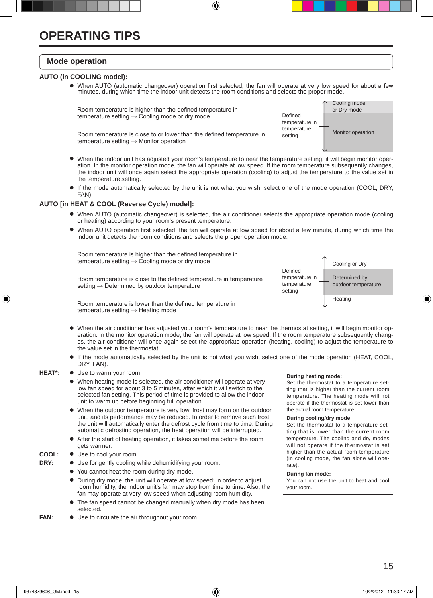#### **Mode operation**

#### **AUTO (in COOLING model):**

 l When AUTO (automatic changeover) operation first selected, the fan will operate at very low speed for about a few minutes, during which time the indoor unit detects the room conditions and selects the proper mode.



- l When the indoor unit has adjusted your room's temperature to near the temperature setting, it will begin monitor operation. In the monitor operation mode, the fan will operate at low speed. If the room temperature subsequently changes, the indoor unit will once again select the appropriate operation (cooling) to adjust the temperature to the value set in the temperature setting.
- l If the mode automatically selected by the unit is not what you wish, select one of the mode operation (COOL, DRY, FAN).

#### **AUTO [in HEAT & COOL (Reverse Cycle) model]:**

- l When AUTO (automatic changeover) is selected, the air conditioner selects the appropriate operation mode (cooling or heating) according to your room's present temperature.
- l When AUTO operation first selected, the fan will operate at low speed for about a few minute, during which time the indoor unit detects the room conditions and selects the proper operation mode.

 Room temperature is higher than the defined temperature in temperature setting  $\rightarrow$  Cooling mode or dry mode

 Room temperature is close to the defined temperature in temperature setting → Determined by outdoor temperature



 Room temperature is lower than the defined temperature in temperature setting  $\rightarrow$  Heating mode

- l When the air conditioner has adjusted your room's temperature to near the thermostat setting, it will begin monitor operation. In the monitor operation mode, the fan will operate at low speed. If the room temperature subsequently changes, the air conditioner will once again select the appropriate operation (heating, cooling) to adjust the temperature to the value set in the thermostat.
- l If the mode automatically selected by the unit is not what you wish, select one of the mode operation (HEAT, COOL, DRY, FAN).
- HEAT\*:  $\bullet$  Use to warm your room.
	- $\bullet$  When heating mode is selected, the air conditioner will operate at very low fan speed for about 3 to 5 minutes, after which it will switch to the selected fan setting. This period of time is provided to allow the indoor unit to warm up before beginning full operation.
	- When the outdoor temperature is very low, frost may form on the outdoor unit, and its performance may be reduced. In order to remove such frost, the unit will automatically enter the defrost cycle from time to time. During automatic defrosting operation, the heat operation will be interrupted.
	- l After the start of heating operation, it takes sometime before the room gets warmer.
- **COOL:**  $\bullet$  Use to cool your room.
- **DRY:**  $\bullet$  Use for gently cooling while dehumidifying your room.
	- You cannot heat the room during dry mode.
		- During dry mode, the unit will operate at low speed; in order to adjust room humidity, the indoor unit's fan may stop from time to time. Also, the fan may operate at very low speed when adjusting room humidity.
		- The fan speed cannot be changed manually when dry mode has been selected.
- **FAN:**  $\bullet$  Use to circulate the air throughout your room.

#### **During heating mode:**

Set the thermostat to a temperature setting that is higher than the current room temperature. The heating mode will not operate if the thermostat is set lower than the actual room temperature.

#### **During cooling/dry mode:**

Set the thermostat to a temperature setting that is lower than the current room temperature. The cooling and dry modes will not operate if the thermostat is set higher than the actual room temperature (in cooling mode, the fan alone will operate).

#### **During fan mode:**

You can not use the unit to heat and cool your room.